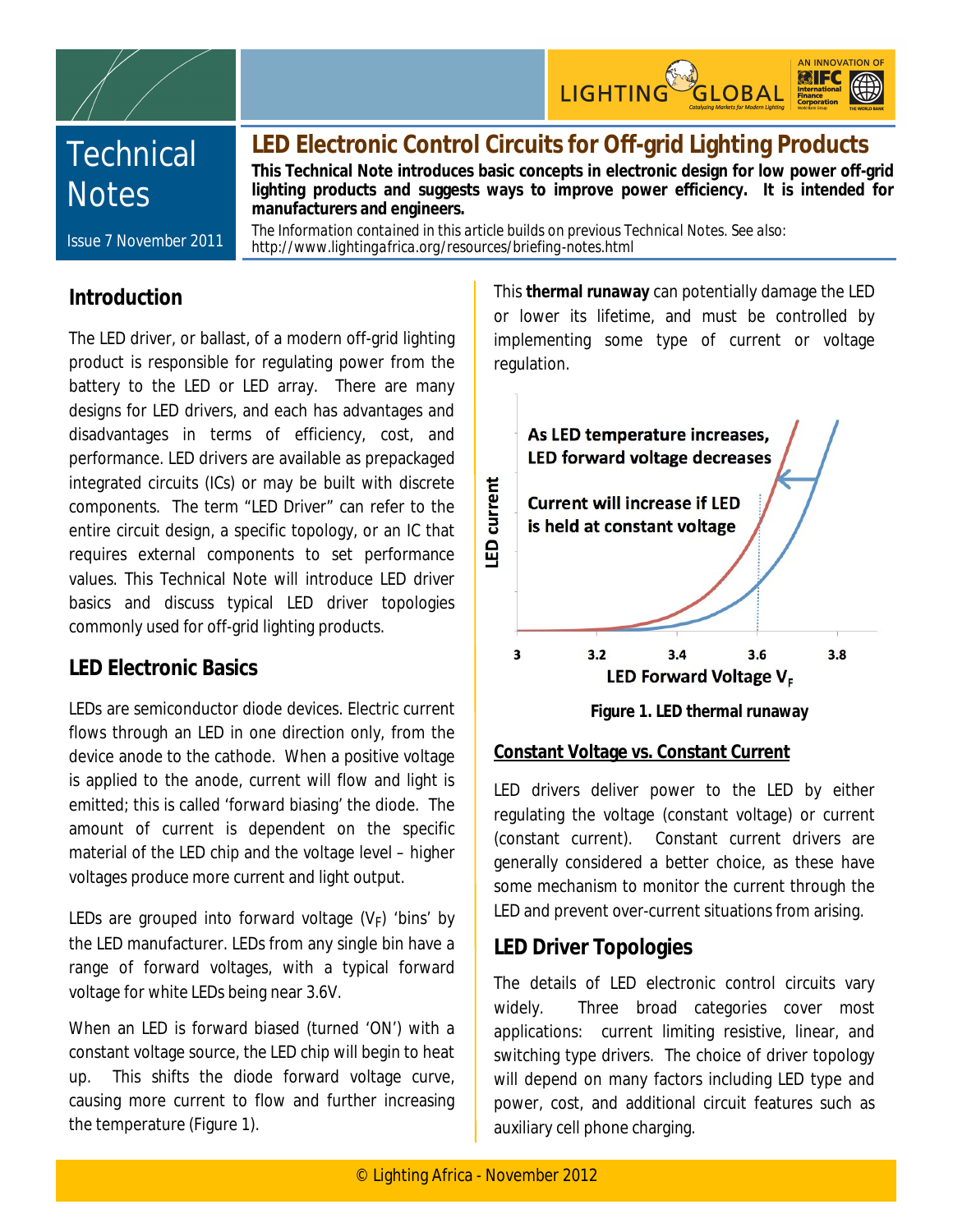





# **Technical Notes**

## **LED Electronic Control Circuits for Off-grid Lighting Products**

**This Technical Note introduces basic concepts in electronic design for low power off-grid lighting products and suggests ways to improve power efficiency. It is intended for manufacturers and engineers.** 

Issue 7 November 2011

*The Information contained in this article builds on previous Technical Notes. See also: http://www.lightingafrica.org/resources/briefing-notes.html*

## **Introduction**

The LED driver, or ballast, of a modern off-grid lighting product is responsible for regulating power from the battery to the LED or LED array. There are many designs for LED drivers, and each has advantages and disadvantages in terms of efficiency, cost, and performance. LED drivers are available as prepackaged integrated circuits (ICs) or may be built with discrete components. The term "LED Driver" can refer to the entire circuit design, a specific topology, or an IC that requires external components to set performance values. This Technical Note will introduce LED driver basics and discuss typical LED driver topologies commonly used for off-grid lighting products.

## **LED Electronic Basics**

LEDs are semiconductor diode devices. Electric current flows through an LED in one direction only, from the device anode to the cathode. When a positive voltage is applied to the anode, current will flow and light is emitted; this is called 'forward biasing' the diode. The amount of current is dependent on the specific material of the LED chip and the voltage level – higher voltages produce more current and light output.

LEDs are grouped into forward voltage  $(V_F)$  'bins' by the LED manufacturer. LEDs from any single bin have a range of forward voltages, with a typical forward voltage for white LEDs being near 3.6V.

When an LED is forward biased (turned 'ON') with a constant voltage source, the LED chip will begin to heat up. This shifts the diode forward voltage curve, causing more current to flow and further increasing the temperature (Figure 1).

This **thermal runaway** can potentially damage the LED or lower its lifetime, and must be controlled by implementing some type of current or voltage regulation.



**Figure 1. LED thermal runaway**

#### **Constant Voltage vs. Constant Current**

LED drivers deliver power to the LED by either regulating the voltage (constant voltage) or current (constant current). Constant current drivers are generally considered a better choice, as these have some mechanism to monitor the current through the LED and prevent over-current situations from arising.

## **LED Driver Topologies**

The details of LED electronic control circuits vary widely. Three broad categories cover most applications: current limiting resistive, linear, and switching type drivers. The choice of driver topology will depend on many factors including LED type and power, cost, and additional circuit features such as auxiliary cell phone charging.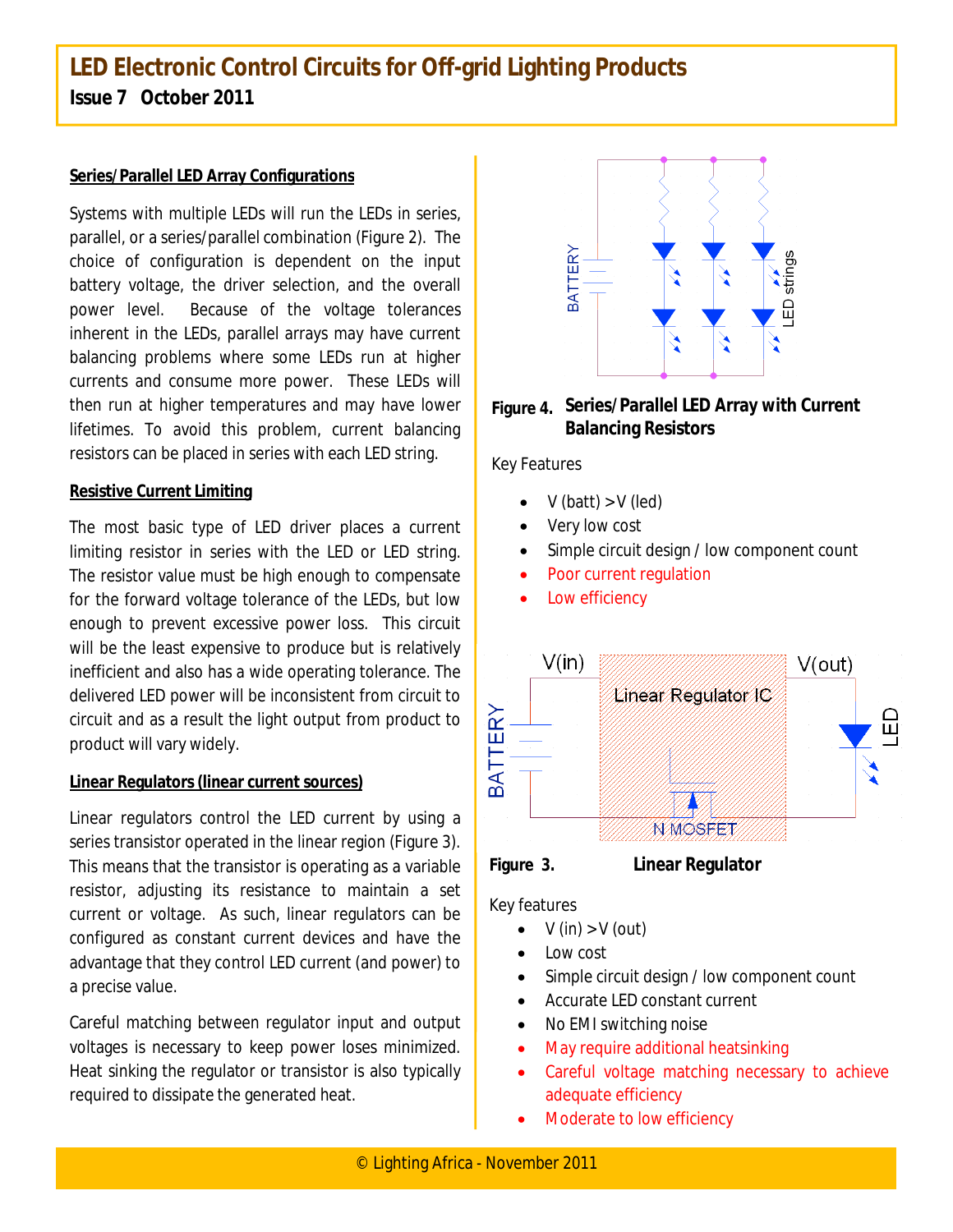## **LED Electronic Control Circuits for Off-grid Lighting Products Issue 7 October 2011**

#### **Series/Parallel LED Array Configurations**

Systems with multiple LEDs will run the LEDs in series, parallel, or a series/parallel combination (Figure 2). The choice of configuration is dependent on the input battery voltage, the driver selection, and the overall power level. Because of the voltage tolerances inherent in the LEDs, parallel arrays may have current balancing problems where some LEDs run at higher currents and consume more power. These LEDs will then run at higher temperatures and may have lower lifetimes. To avoid this problem, current balancing resistors can be placed in series with each LED string.

#### **Resistive Current Limiting**

The most basic type of LED driver places a current limiting resistor in series with the LED or LED string. The resistor value must be high enough to compensate for the forward voltage tolerance of the LEDs, but low enough to prevent excessive power loss. This circuit will be the least expensive to produce but is relatively inefficient and also has a wide operating tolerance. The delivered LED power will be inconsistent from circuit to circuit and as a result the light output from product to product will vary widely.

#### **Linear Regulators (linear current sources)**

Linear regulators control the LED current by using a series transistor operated in the linear region (Figure 3). This means that the transistor is operating as a variable resistor, adjusting its resistance to maintain a set current or voltage. As such, linear regulators can be configured as constant current devices and have the advantage that they control LED current (and power) to a precise value.

Careful matching between regulator input and output voltages is necessary to keep power loses minimized. Heat sinking the regulator or transistor is also typically required to dissipate the generated heat.



**Figure 4. Series/Parallel LED Array with Current Balancing Resistors**

Key Features

- $\bullet$  V (batt) > V (led)
- Very low cost
- Simple circuit design / low component count
- Poor current regulation
- Low efficiency





Key features

- $V$  (in)  $> V$  (out)
- Low cost
- Simple circuit design / low component count
- Accurate LED constant current
- No EMI switching noise
- May require additional heatsinking
- Careful voltage matching necessary to achieve adequate efficiency
- Moderate to low efficiency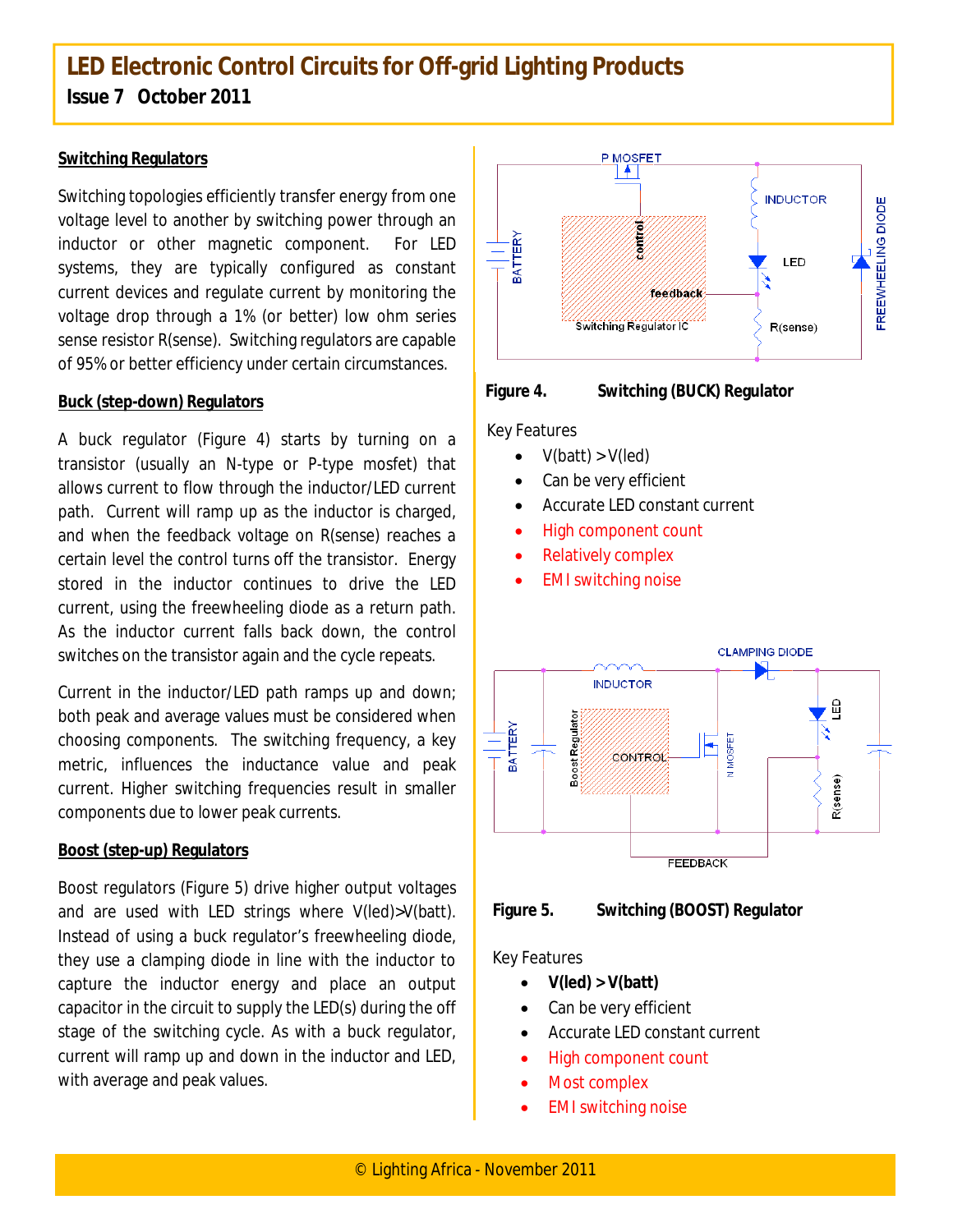## **LED Electronic Control Circuits for Off-grid Lighting Products Issue 7 October 2011**

#### **Switching Regulators**

Switching topologies efficiently transfer energy from one voltage level to another by switching power through an inductor or other magnetic component. For LED systems, they are typically configured as constant current devices and regulate current by monitoring the voltage drop through a 1% (or better) low ohm series sense resistor R(sense). Switching regulators are capable of 95% or better efficiency under certain circumstances.

#### **Buck (step-down) Regulators**

A buck regulator (Figure 4) starts by turning on a transistor (usually an N-type or P-type mosfet) that allows current to flow through the inductor/LED current path. Current will ramp up as the inductor is charged, and when the feedback voltage on R(sense) reaches a certain level the control turns off the transistor. Energy stored in the inductor continues to drive the LED current, using the freewheeling diode as a return path. As the inductor current falls back down, the control switches on the transistor again and the cycle repeats.

Current in the inductor/LED path ramps up and down; both peak and average values must be considered when choosing components. The switching frequency, a key metric, influences the inductance value and peak current. Higher switching frequencies result in smaller components due to lower peak currents.

#### **Boost (step-up) Regulators**

Boost regulators (Figure 5) drive higher output voltages and are used with LED strings where V(led)>V(batt). Instead of using a buck regulator's freewheeling diode, they use a clamping diode in line with the inductor to capture the inductor energy and place an output capacitor in the circuit to supply the LED(s) during the off stage of the switching cycle. As with a buck regulator, current will ramp up and down in the inductor and LED, with average and peak values.





**Figure 4. Switching (BUCK) Regulator**

Key Features

- $\bullet$  V(batt) > V(led)
- Can be very efficient
- Accurate LED constant current
- High component count
- Relatively complex
- EMI switching noise





#### Key Features

- $V(\text{led}) > V(\text{batt})$
- Can be very efficient
- Accurate LED constant current
- High component count
- Most complex
- EMI switching noise